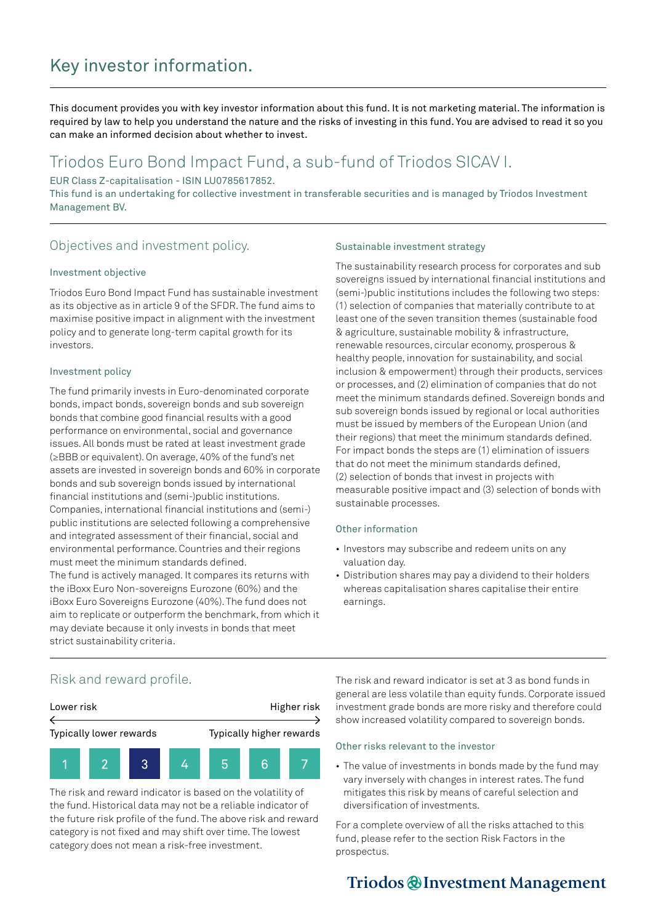# Key investor information.

This document provides you with key investor information about this fund. It is not marketing material. The information is required by law to help you understand the nature and the risks of investing in this fund. You are advised to read it so you can make an informed decision about whether to invest.

# Triodos Euro Bond Impact Fund, a sub-fund of Triodos SICAV I.

EUR Class Z-capitalisation - ISIN LU0785617852.

This fund is an undertaking for collective investment in transferable securities and is managed by Triodos Investment Management BV.

## Objectives and investment policy.

### Investment objective

Triodos Euro Bond Impact Fund has sustainable investment as its objective as in article 9 of the SFDR. The fund aims to maximise positive impact in alignment with the investment policy and to generate long-term capital growth for its investors.

### Investment policy

The fund primarily invests in Euro-denominated corporate bonds, impact bonds, sovereign bonds and sub sovereign bonds that combine good financial results with a good performance on environmental, social and governance issues. All bonds must be rated at least investment grade (≥BBB or equivalent). On average, 40% of the fund's net assets are invested in sovereign bonds and 60% in corporate bonds and sub sovereign bonds issued by international financial institutions and (semi-)public institutions. Companies, international financial institutions and (semi-) public institutions are selected following a comprehensive and integrated assessment of their financial, social and environmental performance. Countries and their regions must meet the minimum standards defined. The fund is actively managed. It compares its returns with the iBoxx Euro Non-sovereigns Eurozone (60%) and the iBoxx Euro Sovereigns Eurozone (40%). The fund does not aim to replicate or outperform the benchmark, from which it may deviate because it only invests in bonds that meet strict sustainability criteria.

### Sustainable investment strategy

The sustainability research process for corporates and sub sovereigns issued by international financial institutions and (semi-)public institutions includes the following two steps: (1) selection of companies that materially contribute to at least one of the seven transition themes (sustainable food & agriculture, sustainable mobility & infrastructure, renewable resources, circular economy, prosperous & healthy people, innovation for sustainability, and social inclusion & empowerment) through their products, services or processes, and (2) elimination of companies that do not meet the minimum standards defined. Sovereign bonds and sub sovereign bonds issued by regional or local authorities must be issued by members of the European Union (and their regions) that meet the minimum standards defined. For impact bonds the steps are (1) elimination of issuers that do not meet the minimum standards defined, (2) selection of bonds that invest in projects with measurable positive impact and (3) selection of bonds with sustainable processes.

### Other information

- Investors may subscribe and redeem units on any valuation day.
- Distribution shares may pay a dividend to their holders whereas capitalisation shares capitalise their entire earnings.

## Risk and reward profile.



The risk and reward indicator is based on the volatility of the fund. Historical data may not be a reliable indicator of the future risk profile of the fund. The above risk and reward category is not fixed and may shift over time. The lowest category does not mean a risk-free investment.

The risk and reward indicator is set at 3 as bond funds in general are less volatile than equity funds. Corporate issued investment grade bonds are more risky and therefore could show increased volatility compared to sovereign bonds.

## Other risks relevant to the investor

• The value of investments in bonds made by the fund may vary inversely with changes in interest rates. The fund mitigates this risk by means of careful selection and diversification of investments.

For a complete overview of all the risks attached to this fund, please refer to the section Risk Factors in the prospectus.

# Triodos @ Investment Management